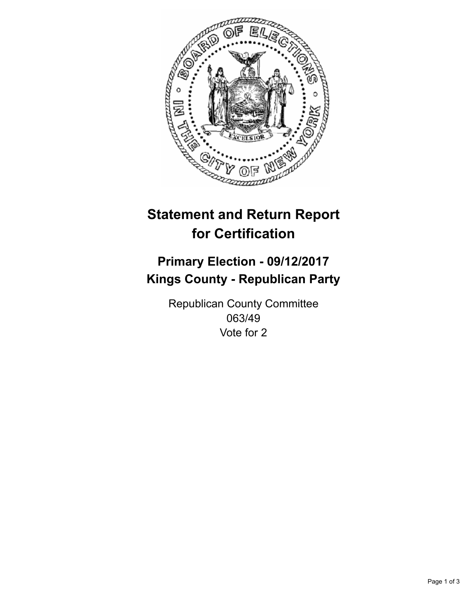

## **Statement and Return Report for Certification**

## **Primary Election - 09/12/2017 Kings County - Republican Party**

Republican County Committee 063/49 Vote for 2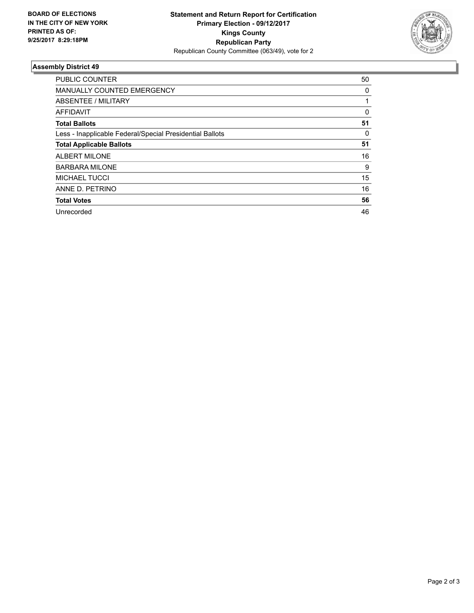

## **Assembly District 49**

| <b>PUBLIC COUNTER</b>                                    | 50 |
|----------------------------------------------------------|----|
| <b>MANUALLY COUNTED EMERGENCY</b>                        | 0  |
| ABSENTEE / MILITARY                                      |    |
| <b>AFFIDAVIT</b>                                         | 0  |
| <b>Total Ballots</b>                                     | 51 |
| Less - Inapplicable Federal/Special Presidential Ballots | 0  |
| <b>Total Applicable Ballots</b>                          | 51 |
| <b>ALBERT MILONE</b>                                     | 16 |
| <b>BARBARA MILONE</b>                                    | 9  |
| <b>MICHAEL TUCCI</b>                                     | 15 |
| ANNE D. PETRINO                                          | 16 |
| <b>Total Votes</b>                                       | 56 |
| Unrecorded                                               | 46 |